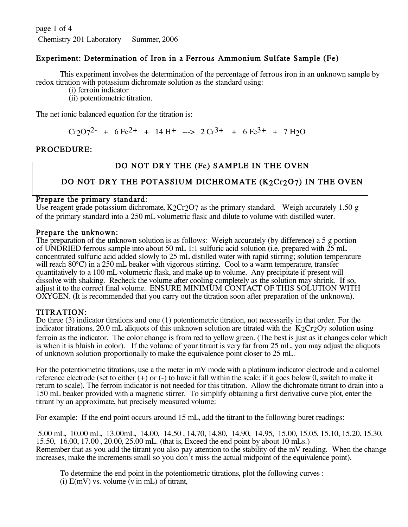page 1 of 4 Chemistry 201 Laboratory Summer, 2006

## Experiment: Determination of Iron in a Ferrous Ammonium Sulfate Sample (Fe)

This experiment involves the determination of the percentage of ferrous iron in an unknown sample by redox titration with potassium dichromate solution as the standard using:

(i) ferroin indicator

(ii) potentiometric titration.

The net ionic balanced equation for the titration is:

 $Cr2O7^2$  + 6 Fe<sup>2+</sup> + 14 H<sup>+</sup> ---> 2  $Cr^{3+}$  + 6 Fe<sup>3+</sup> + 7 H<sub>2</sub>O

## PROCEDURE:

# DO NOT DRY THE (Fe) SAMPLE IN THE OVEN

# DO NOT DRY THE POTASSIUM DICHROMATE (K2Cr2O7) IN THE OVEN

### Prepare the primary standard:

Use reagent grade potassium dichromate,  $K_2Cr_2O7$  as the primary standard. Weigh accurately 1.50 g of the primary standard into a 250 mL volumetric flask and dilute to volume with distilled water.

Prepare the unknown:<br>The preparation of the unknown solution is as follows: Weigh accurately (by difference) a 5 g portion of UNDRIED ferrous sample into about 50 mL 1:1 sulfuric acid solution (i.e. prepared with 25 mL concentrated sulfuric acid added slowly to 25 mL distilled water with rapid stirring; solution temperature will reach 80<sup>o</sup>C) in a 250 mL beaker with vigorous stirring. Cool to a warm temperature, transfer quantitatively to a 100 mL volumetric flask, and make up to volume. Any precipitate if present will adjust it to the correct final volume. ENSURE MINIMUM CONTACT OF THIS SOLUTION WITH OXYGEN. (It is recommended that you carry out the titration soon after preparation of the unknown).

TITRATION: Do three (3) indicator titrations and one (1) potentiometric titration, not necessarily in that order. For the indicator titrations, 20.0 mL aliquots of this unknown solution are titrated with the  $K2Cr2O7$  solution using ferroin as the indicator. The color change is from red to yellow green. (The best is just as it changes color which is when it is bluish in color). If the volume of your titrant is very far from 25 mL, you may adjust the aliquots of unknown solution proportionally to make the equivalence point closer to 25 mL.

For the potentiometric titrations, use a the meter in mV mode with a platinum indicator electrode and a calomel reference electrode (set to either  $(+)$  or  $(-)$  to have it fall within the scale; if it goes below 0, switch to make it return to scale). The ferroin indicator is not needed for this titration. Allow the dichromate titrant to drain into a 150 mL beaker provided with a magnetic stirrer. To simplify obtaining a first derivative curve plot, enter the titrant by an approximate, but precisely measured volume:

For example: If the end point occurs around 15 mL, add the titrant to the following buret readings:

5.00 mL, 10.00 mL, 13.00mL, 14.00, 14.50 , 14.70, 14.80, 14.90, 14.95, 15.00, 15.05, 15.10, 15.20, 15.30, 15.50, 16.00, 17.00 , 20.00, 25.00 mL. (that is, Exceed the end point by about 10 mLs.) Remember that as you add the titrant you also pay attention to the stability of the mV reading. When the change increases, make the increments small so you don't miss the actual midpoint of the equivalence point).

To determine the end point in the potentiometric titrations, plot the following curves : (i)  $E(mV)$  vs. volume (v in mL) of titrant,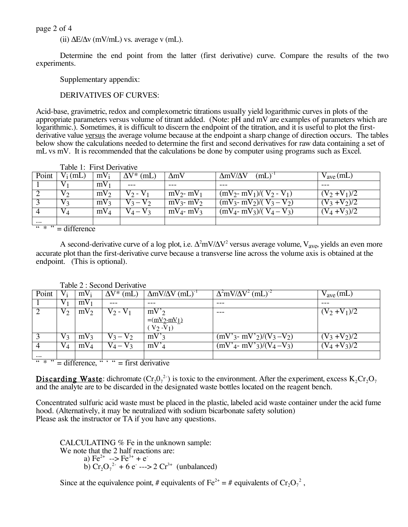page 2 of 4

(ii)  $\Delta E/\Delta v$  (mV/mL) vs. average v (mL).

Determine the end point from the latter (first derivative) curve. Compare the results of the two experiments.

Supplementary appendix:

DERIVATIVES OF CURVES:

Acid-base, gravimetric, redox and complexometric titrations usually yield logarithmic curves in plots of the appropriate parameters versus volume of titrant added. (Note: pH and mV are examples of parameters which are logarithmic.). Sometimes, it is difficult to discern the endpoint of the titration, and it is useful to plot the firstderivative value versus the average volume because at the endpoint a sharp change of direction occurs. The tables below show the calculations needed to determine the first and second derivatives for raw data containing a set of mL vs mV. It is recommended that the calculations be done by computer using programs such as Excel.

|                                  | Table 1: First Derivative |                 |                         |                 |                               |                      |  |  |
|----------------------------------|---------------------------|-----------------|-------------------------|-----------------|-------------------------------|----------------------|--|--|
| Point                            | $V_i$ (mL)                | $mV_i$          | $\bar{\Delta V}^*$ (mL) | $\Delta mV$     | $\Delta$ mV/ $\Delta$ V<br>mL | $V_{\text{ave}}(mL)$ |  |  |
|                                  |                           | $mV_1$          |                         | ---             |                               |                      |  |  |
|                                  | $V_{2}$                   | $mV_2$          | $V \gamma$ - $V \gamma$ | $mV_2$ - $mV_1$ | $(mV_2 - mV_1)/(V_2 - V_1)$   | $(V_2 + V_1)/2$      |  |  |
|                                  | $V_3$                     | $mV_3$          | $V_3 - V_2$             | $mV_3$ - $mV_2$ | $(mV_3 - mV_2)/(V_3 - V_2)$   | $(V_3 + V_2)/2$      |  |  |
|                                  | $V_4$                     | mV <sub>4</sub> | $V_A - V_3$             | $mV_4$ - $mV_3$ | $(mV_4 - mV_3)/(V_4 - V_3)$   | $(V_4 + V_3)/2$      |  |  |
| $\cdots$                         |                           |                 |                         |                 |                               |                      |  |  |
| $66 \times 22$<br>$-$ difference |                           |                 |                         |                 |                               |                      |  |  |

 $* " = difference"$ 

A second-derivative curve of a log plot, i.e.  $\Delta^2$ mV/ $\Delta$ V<sup>2</sup> versus average volume, V<sub>ave</sub>, yields an even more accurate plot than the first-derivative curve because a transverse line across the volume axis is obtained at the endpoint. (This is optional).

|                                                                                                 | $1$ avic $2$ . Second Denvalve |                 |                              |                                          |                                                                     |                      |  |  |  |  |  |
|-------------------------------------------------------------------------------------------------|--------------------------------|-----------------|------------------------------|------------------------------------------|---------------------------------------------------------------------|----------------------|--|--|--|--|--|
| Point                                                                                           | V i                            | $mV_i$          | $\overline{\Delta V}^*$ (mL) | $\Delta m V/\Delta V$ (mL) <sup>-1</sup> | $\overline{\Delta^2}$ mV/ $\overline{\Delta}V^2$ (mL) <sup>-2</sup> | $V_{\text{ave}}(mL)$ |  |  |  |  |  |
|                                                                                                 |                                | $mV_1$          |                              |                                          | ---                                                                 |                      |  |  |  |  |  |
|                                                                                                 | V٥                             | $mV_2$          | $V_2 - V_1$                  | $mV'_{2}$                                | ---                                                                 | $(V_2 + V_1)/2$      |  |  |  |  |  |
|                                                                                                 |                                |                 |                              | $=(\frac{mV_2-mV_1}{mV_1})$              |                                                                     |                      |  |  |  |  |  |
|                                                                                                 |                                |                 |                              | $(V_2 - V_1)$                            |                                                                     |                      |  |  |  |  |  |
|                                                                                                 | $V_3$                          | $mV_3$          | $V_3 - V_2$                  | $mV$ <sup>2</sup>                        | $(mV'_{3} - mV'_{2})/(V_{3} - V_{2})$                               | $(V_3 + V_2)/2$      |  |  |  |  |  |
|                                                                                                 | $V_4$                          | mV <sub>4</sub> | $V_4 - V_3$                  | $mV'_{4}$                                | $(mV'_{4}$ - mV' <sub>3</sub> )/(V <sub>4</sub> -V <sub>3</sub> )   | $(V_4 + V_3)/2$      |  |  |  |  |  |
| $\cdots$                                                                                        |                                |                 |                              |                                          |                                                                     |                      |  |  |  |  |  |
| $66 * 22$<br>$\frac{1}{16}$ $\frac{1}{16}$ $\frac{1}{16}$ = first derivative<br>$=$ difference, |                                |                 |                              |                                          |                                                                     |                      |  |  |  |  |  |

Table 2 : Second Derivative

**Discarding Waste:** dichromate  $(Cr_2O_7^{2})$  is toxic to the environment. After the experiment, excess  $K_2Cr_2O_7$ and the analyte are to be discarded in the designated waste bottles located on the reagent bench.

Concentrated sulfuric acid waste must be placed in the plastic, labeled acid waste container under the acid fume hood. (Alternatively, it may be neutralized with sodium bicarbonate safety solution) Please ask the instructor or TA if you have any questions.

CALCULATING % Fe in the unknown sample: We note that the 2 half reactions are: a)  $Fe^{2+}$  -->  $Fe^{3+}$  + e<sup>-</sup> b)  $Cr_2O_7^{2-} + 6e^- \rightarrow 2Cr^{3+}$  (unbalanced)

Since at the equivalence point, # equivalents of Fe<sup>2+</sup> = # equivalents of  $Cr_2O_7^2$ ,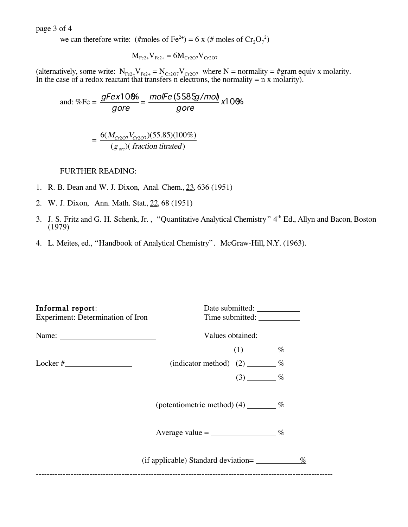page 3 of 4

we can therefore write: (#moles of Fe<sup>2+</sup>) = 6 x (# moles of  $Cr_2O_7^2$ )

$$
M_{Fe2+}V_{Fe2+} = 6M_{Cr2O7}V_{Cr2O7}
$$

(alternatively, some write:  $N_{Fe2+}V_{Fe2+} = N_{Cr2O7}V_{Cr2O7}$  where N = normality = #gram equiv x molarity. In the case of a redox reactant that transfers n electrons, the normality  $= n \times$  molarity).

and: %Fe = 
$$
\frac{gFex10\%}{gore} = \frac{molFe(5585g/mol)}{gore}x10\%
$$

$$
= \frac{6(M_{Cr2O7}V_{Cr2O7})(55.85)(100\%)}{(g_{ore})(fraction\text{ titrated})}
$$

### FURTHER READING:

- $\overline{a}$ 1. R. B. Dean and W. J. Dixon, Anal. Chem., 23, 636 (1951)
- 2. W. J. Dixon, Ann. Math. Stat., 22, 68 (1951)
- 3. J. S. Fritz and G. H. Schenk, Jr., "Quantitative Analytical Chemistry" 4<sup>th</sup> Ed., Allyn and Bacon, Boston (1979)
- 4. L. Meites, ed., "Handbook of Analytical Chemistry". McGraw-Hill, N.Y. (1963).

| Informal report:<br>Experiment: Determination of Iron | Time submitted:                         |      |
|-------------------------------------------------------|-----------------------------------------|------|
|                                                       | Values obtained:                        |      |
|                                                       | $(1)$ $\frac{\%}{\%}$                   |      |
|                                                       | (indicator method) $(2)$ _______ %      |      |
|                                                       | $(3)$ $\frac{ }{ }$ %                   |      |
|                                                       | (potentiometric method) $(4)$ _______ % |      |
|                                                       | Average value = $\frac{\%}{\%}$         |      |
|                                                       | (if applicable) Standard deviation=     | $\%$ |